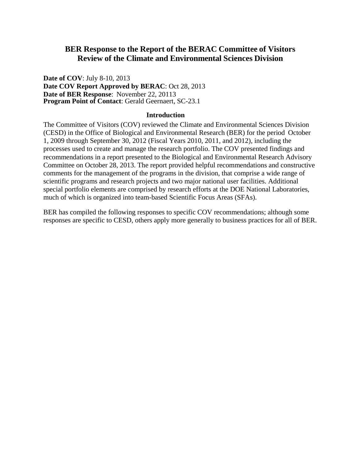## **BER Response to the Report of the BERAC Committee of Visitors Review of the Climate and Environmental Sciences Division**

**Date of COV**: July 8-10, 2013 **Date COV Report Approved by BERAC**: Oct 28, 2013 **Date of BER Response**: November 22, 20113 **Program Point of Contact**: Gerald Geernaert, SC-23.1

## **Introduction**

The Committee of Visitors (COV) reviewed the Climate and Environmental Sciences Division (CESD) in the Office of Biological and Environmental Research (BER) for the period October 1, 2009 through September 30, 2012 (Fiscal Years 2010, 2011, and 2012), including the processes used to create and manage the research portfolio. The COV presented findings and recommendations in a report presented to the Biological and Environmental Research Advisory Committee on October 28, 2013. The report provided helpful recommendations and constructive comments for the management of the programs in the division, that comprise a wide range of scientific programs and research projects and two major national user facilities. Additional special portfolio elements are comprised by research efforts at the DOE National Laboratories, much of which is organized into team-based Scientific Focus Areas (SFAs).

BER has compiled the following responses to specific COV recommendations; although some responses are specific to CESD, others apply more generally to business practices for all of BER.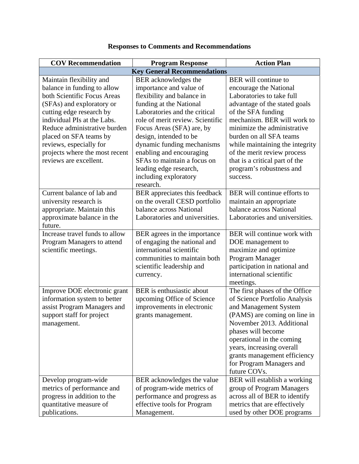| <b>COV Recommendation</b>                                                                                                                                                                                                                                                                                                       | <b>Program Response</b>                                                                                                                                                                                                                                                                                                                                                                       | <b>Action Plan</b>                                                                                                                                                                                                                                                                                                                                                             |  |  |
|---------------------------------------------------------------------------------------------------------------------------------------------------------------------------------------------------------------------------------------------------------------------------------------------------------------------------------|-----------------------------------------------------------------------------------------------------------------------------------------------------------------------------------------------------------------------------------------------------------------------------------------------------------------------------------------------------------------------------------------------|--------------------------------------------------------------------------------------------------------------------------------------------------------------------------------------------------------------------------------------------------------------------------------------------------------------------------------------------------------------------------------|--|--|
| <b>Key General Recommendations</b>                                                                                                                                                                                                                                                                                              |                                                                                                                                                                                                                                                                                                                                                                                               |                                                                                                                                                                                                                                                                                                                                                                                |  |  |
| Maintain flexibility and<br>balance in funding to allow<br>both Scientific Focus Areas<br>(SFAs) and exploratory or<br>cutting edge research by<br>individual PIs at the Labs.<br>Reduce administrative burden<br>placed on SFA teams by<br>reviews, especially for<br>projects where the most recent<br>reviews are excellent. | BER acknowledges the<br>importance and value of<br>flexibility and balance in<br>funding at the National<br>Laboratories and the critical<br>role of merit review. Scientific<br>Focus Areas (SFA) are, by<br>design, intended to be<br>dynamic funding mechanisms<br>enabling and encouraging<br>SFAs to maintain a focus on<br>leading edge research,<br>including exploratory<br>research. | <b>BER</b> will continue to<br>encourage the National<br>Laboratories to take full<br>advantage of the stated goals<br>of the SFA funding<br>mechanism. BER will work to<br>minimize the administrative<br>burden on all SFA teams<br>while maintaining the integrity<br>of the merit review process<br>that is a critical part of the<br>program's robustness and<br>success. |  |  |
| Current balance of lab and<br>university research is<br>appropriate. Maintain this<br>approximate balance in the<br>future.                                                                                                                                                                                                     | BER appreciates this feedback<br>on the overall CESD portfolio<br>balance across National<br>Laboratories and universities.                                                                                                                                                                                                                                                                   | BER will continue efforts to<br>maintain an appropriate<br>balance across National<br>Laboratories and universities.                                                                                                                                                                                                                                                           |  |  |
| Increase travel funds to allow<br>Program Managers to attend<br>scientific meetings.                                                                                                                                                                                                                                            | BER agrees in the importance<br>of engaging the national and<br>international scientific<br>communities to maintain both<br>scientific leadership and<br>currency.                                                                                                                                                                                                                            | BER will continue work with<br>DOE management to<br>maximize and optimize<br>Program Manager<br>participation in national and<br>international scientific<br>meetings.                                                                                                                                                                                                         |  |  |
| Improve DOE electronic grant<br>information system to better<br>assist Program Managers and<br>support staff for project<br>management.                                                                                                                                                                                         | BER is enthusiastic about<br>upcoming Office of Science<br>improvements in electronic<br>grants management.                                                                                                                                                                                                                                                                                   | The first phases of the Office<br>of Science Portfolio Analysis<br>and Management System<br>(PAMS) are coming on line in<br>November 2013. Additional<br>phases will become<br>operational in the coming<br>years, increasing overall<br>grants management efficiency<br>for Program Managers and<br>future COVs.                                                              |  |  |
| Develop program-wide<br>metrics of performance and<br>progress in addition to the<br>quantitative measure of<br>publications.                                                                                                                                                                                                   | BER acknowledges the value<br>of program-wide metrics of<br>performance and progress as<br>effective tools for Program<br>Management.                                                                                                                                                                                                                                                         | BER will establish a working<br>group of Program Managers<br>across all of BER to identify<br>metrics that are effectively<br>used by other DOE programs                                                                                                                                                                                                                       |  |  |

## **Responses to Comments and Recommendations**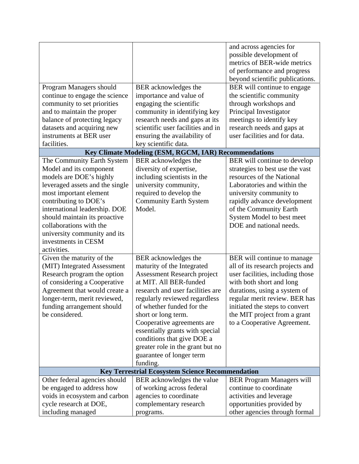|                                                            |                                                       | and across agencies for                              |  |  |
|------------------------------------------------------------|-------------------------------------------------------|------------------------------------------------------|--|--|
|                                                            |                                                       | possible development of                              |  |  |
|                                                            |                                                       | metrics of BER-wide metrics                          |  |  |
|                                                            |                                                       | of performance and progress                          |  |  |
|                                                            |                                                       | beyond scientific publications.                      |  |  |
| Program Managers should                                    | BER acknowledges the                                  | BER will continue to engage                          |  |  |
| continue to engage the science                             | importance and value of                               | the scientific community                             |  |  |
| community to set priorities                                | engaging the scientific                               | through workshops and                                |  |  |
| and to maintain the proper                                 | community in identifying key                          | Principal Investigator                               |  |  |
| balance of protecting legacy                               | research needs and gaps at its                        | meetings to identify key                             |  |  |
| datasets and acquiring new                                 | scientific user facilities and in                     | research needs and gaps at                           |  |  |
| instruments at BER user                                    | ensuring the availability of                          | user facilities and for data.                        |  |  |
| facilities.                                                | key scientific data.                                  |                                                      |  |  |
|                                                            | Key Climate Modeling (ESM, RGCM, IAR) Recommendations |                                                      |  |  |
| The Community Earth System                                 | BER acknowledges the                                  | BER will continue to develop                         |  |  |
| Model and its component                                    | diversity of expertise,                               | strategies to best use the vast                      |  |  |
|                                                            | including scientists in the                           | resources of the National                            |  |  |
| models are DOE's highly<br>leveraged assets and the single | university community,                                 | Laboratories and within the                          |  |  |
|                                                            |                                                       |                                                      |  |  |
| most important element                                     | required to develop the                               | university community to                              |  |  |
| contributing to DOE's                                      | <b>Community Earth System</b><br>Model.               | rapidly advance development                          |  |  |
| international leadership. DOE                              |                                                       | of the Community Earth                               |  |  |
| should maintain its proactive<br>collaborations with the   |                                                       | System Model to best meet<br>DOE and national needs. |  |  |
|                                                            |                                                       |                                                      |  |  |
| university community and its                               |                                                       |                                                      |  |  |
| investments in CESM                                        |                                                       |                                                      |  |  |
| activities.                                                |                                                       |                                                      |  |  |
| Given the maturity of the                                  | BER acknowledges the                                  | BER will continue to manage                          |  |  |
| (MIT) Integrated Assessment                                | maturity of the Integrated                            | all of its research projects and                     |  |  |
| Research program the option                                | <b>Assessment Research project</b>                    | user facilities, including those                     |  |  |
| of considering a Cooperative                               | at MIT. All BER-funded                                | with both short and long                             |  |  |
| Agreement that would create a                              | research and user facilities are                      | durations, using a system of                         |  |  |
| longer-term, merit reviewed,                               | regularly reviewed regardless                         | regular merit review. BER has                        |  |  |
| funding arrangement should                                 | of whether funded for the                             | initiated the steps to convert                       |  |  |
| be considered.                                             | short or long term.                                   | the MIT project from a grant                         |  |  |
|                                                            | Cooperative agreements are                            | to a Cooperative Agreement.                          |  |  |
|                                                            | essentially grants with special                       |                                                      |  |  |
|                                                            | conditions that give DOE a                            |                                                      |  |  |
|                                                            | greater role in the grant but no                      |                                                      |  |  |
|                                                            | guarantee of longer term                              |                                                      |  |  |
|                                                            | funding.                                              |                                                      |  |  |
| <b>Key Terrestrial Ecosystem Science Recommendation</b>    |                                                       |                                                      |  |  |
| Other federal agencies should                              | BER acknowledges the value                            | <b>BER Program Managers will</b>                     |  |  |
| be engaged to address how                                  | of working across federal                             | continue to coordinate                               |  |  |
| voids in ecosystem and carbon                              | agencies to coordinate                                | activities and leverage                              |  |  |
| cycle research at DOE,                                     | complementary research                                | opportunities provided by                            |  |  |
| including managed                                          | programs.                                             | other agencies through formal                        |  |  |